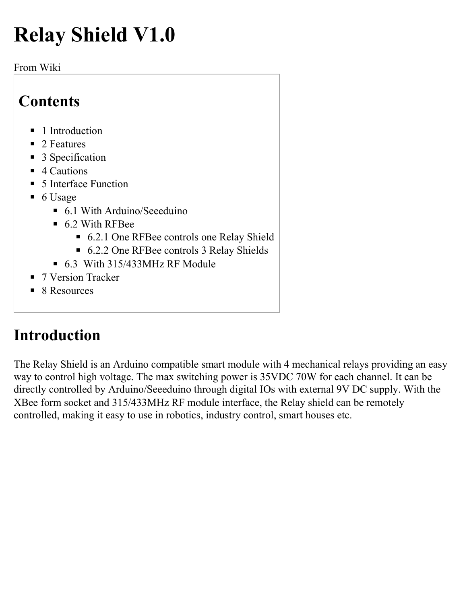# **Relay Shield V1.0**

#### From Wiki

### **Contents**

- 1 Introduction
- 2 Features
- 3 Specification
- 4 Cautions
- 5 Interface Function
- 6 Usage
	- 6.1 With Arduino/Seeeduino
	- 6.2 With RFBee
		- 6.2.1 One RFBee controls one Relay Shield
		- 6.2.2 One RFBee controls 3 Relay Shields
	- $\bullet$  6.3 With 315/433MHz RF Module
- 7 Version Tracker
- 8 Resources

# **Introduction**

The Relay Shield is an Arduino compatible smart module with 4 mechanical relays providing an easy way to control high voltage. The max switching power is 35VDC 70W for each channel. It can be directly controlled by Arduino/Seeeduino through digital IOs with external 9V DC supply. With the XBee form socket and 315/433MHz RF module interface, the Relay shield can be remotely controlled, making it easy to use in robotics, industry control, smart houses etc.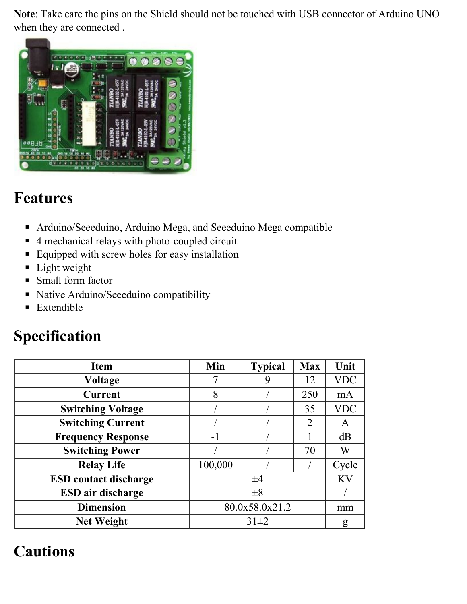**Note**: Take care the pins on the Shield should not be touched with USB connector of Arduino UNO when they are connected .



### **Features**

- Arduino/Seeeduino, Arduino Mega, and Seeeduino Mega compatible
- 4 mechanical relays with photo-coupled circuit
- Equipped with screw holes for easy installation
- Light weight
- Small form factor
- Native Arduino/Seeeduino compatibility
- Extendible

### **Specification**

| <b>Item</b>                  | Min            | <b>Typical</b> | <b>Max</b> | Unit       |
|------------------------------|----------------|----------------|------------|------------|
| Voltage                      |                | 9              | 12         | <b>VDC</b> |
| <b>Current</b>               | 8              |                | 250        | mA         |
| <b>Switching Voltage</b>     |                |                | 35         | <b>VDC</b> |
| <b>Switching Current</b>     |                |                | 2          | A          |
| <b>Frequency Response</b>    | $-1$           |                |            | dB         |
| <b>Switching Power</b>       |                |                | 70         | W          |
| <b>Relay Life</b>            | 100,000        |                |            | Cycle      |
| <b>ESD</b> contact discharge | $\pm 4$        |                |            | <b>KV</b>  |
| <b>ESD</b> air discharge     | $\pm 8$        |                |            |            |
| <b>Dimension</b>             | 80.0x58.0x21.2 |                |            | mm         |
| <b>Net Weight</b>            | $31\pm2$       |                |            | g          |

### **Cautions**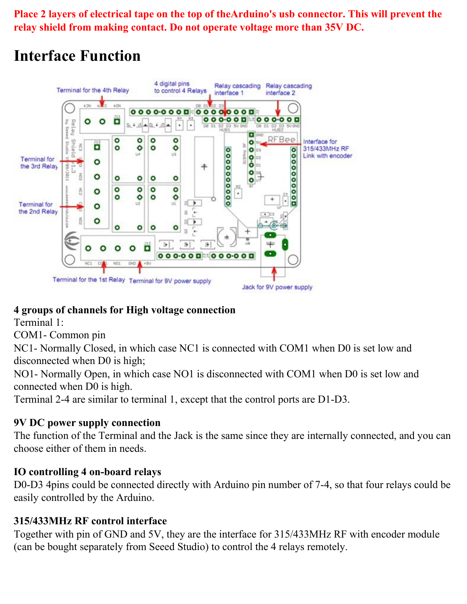**Place 2 layers of electrical tape on the top of theArduino's usb connector. This will prevent the relay shield from making contact. Do not operate voltage more than 35V DC.** 

# **Interface Function**



#### **4 groups of channels for High voltage connection**

Terminal 1:

COM1- Common pin

NC1- Normally Closed, in which case NC1 is connected with COM1 when D0 is set low and disconnected when D0 is high;

NO1- Normally Open, in which case NO1 is disconnected with COM1 when D0 is set low and connected when D0 is high.

Terminal 2-4 are similar to terminal 1, except that the control ports are D1-D3.

#### **9V DC power supply connection**

The function of the Terminal and the Jack is the same since they are internally connected, and you can choose either of them in needs.

#### **IO controlling 4 on-board relays**

D0-D3 4pins could be connected directly with Arduino pin number of 7-4, so that four relays could be easily controlled by the Arduino.

#### **315/433MHz RF control interface**

Together with pin of GND and 5V, they are the interface for 315/433MHz RF with encoder module (can be bought separately from Seeed Studio) to control the 4 relays remotely.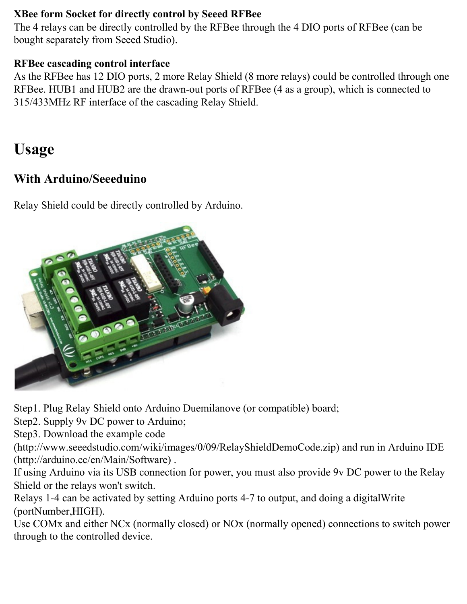#### **XBee form Socket for directly control by Seeed RFBee**

The 4 relays can be directly controlled by the RFBee through the 4 DIO ports of RFBee (can be bought separately from Seeed Studio).

#### **RFBee cascading control interface**

As the RFBee has 12 DIO ports, 2 more Relay Shield (8 more relays) could be controlled through one RFBee. HUB1 and HUB2 are the drawn-out ports of RFBee (4 as a group), which is connected to 315/433MHz RF interface of the cascading Relay Shield.

# **Usage**

#### **With Arduino/Seeeduino**

Relay Shield could be directly controlled by Arduino.



Step1. Plug Relay Shield onto Arduino Duemilanove (or compatible) board;

Step2. Supply 9v DC power to Arduino;

Step3. Download the example code

(http://www.seeedstudio.com/wiki/images/0/09/RelayShieldDemoCode.zip) and run in Arduino IDE (http://arduino.cc/en/Main/Software) .

If using Arduino via its USB connection for power, you must also provide 9v DC power to the Relay Shield or the relays won't switch.

Relays 1-4 can be activated by setting Arduino ports 4-7 to output, and doing a digitalWrite (portNumber,HIGH).

Use COMx and either NCx (normally closed) or NOx (normally opened) connections to switch power through to the controlled device.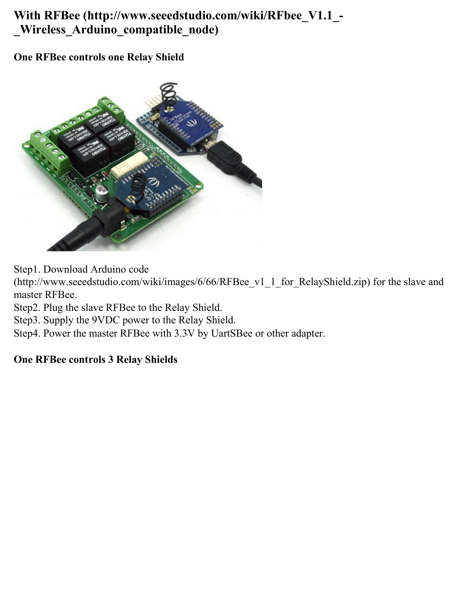#### **With RFBee (http://www.seeedstudio.com/wiki/RFbee\_V1.1\_- \_Wireless\_Arduino\_compatible\_node)**

#### **One RFBee controls one Relay Shield**



Step1. Download Arduino code

(http://www.seeedstudio.com/wiki/images/6/66/RFBee\_v1\_1\_for\_RelayShield.zip) for the slave and master RFBee.

Step2. Plug the slave RFBee to the Relay Shield.

Step3. Supply the 9VDC power to the Relay Shield.

Step4. Power the master RFBee with 3.3V by UartSBee or other adapter.

#### **One RFBee controls 3 Relay Shields**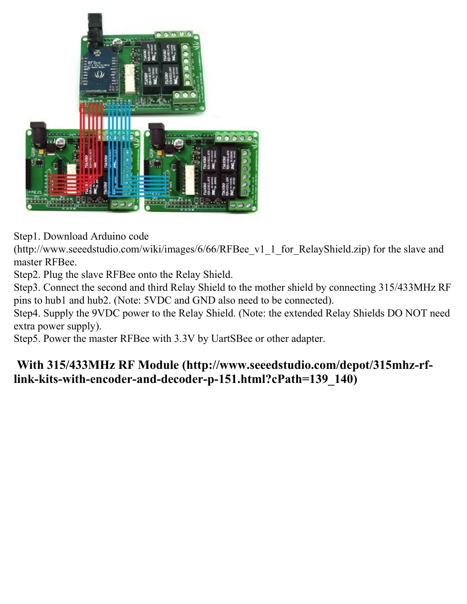

Step1. Download Arduino code

(http://www.seeedstudio.com/wiki/images/6/66/RFBee\_v1\_1\_for\_RelayShield.zip) for the slave and master RFBee.

Step2. Plug the slave RFBee onto the Relay Shield.

Step3. Connect the second and third Relay Shield to the mother shield by connecting 315/433MHz RF pins to hub1 and hub2. (Note: 5VDC and GND also need to be connected).

Step4. Supply the 9VDC power to the Relay Shield. (Note: the extended Relay Shields DO NOT need extra power supply).

Step5. Power the master RFBee with 3.3V by UartSBee or other adapter.

#### **With 315/433MHz RF Module (http://www.seeedstudio.com/depot/315mhz-rflink-kits-with-encoder-and-decoder-p-151.html?cPath=139\_140)**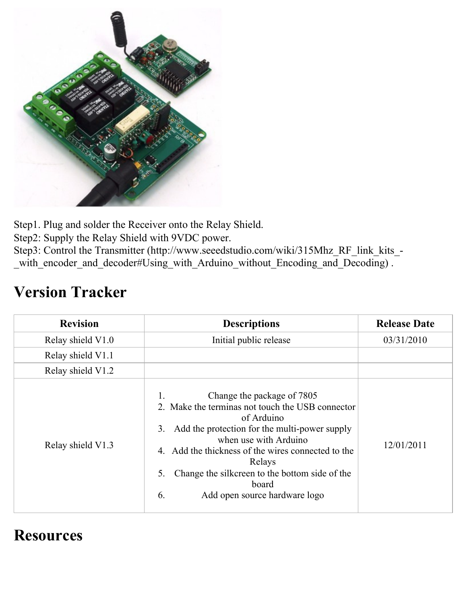

Step1. Plug and solder the Receiver onto the Relay Shield.

Step2: Supply the Relay Shield with 9VDC power.

Step3: Control the Transmitter (http://www.seeedstudio.com/wiki/315Mhz\_RF\_link\_kits\_- \_with\_encoder\_and\_decoder#Using\_with\_Arduino\_without\_Encoding\_and\_Decoding) .

### **Version Tracker**

| <b>Revision</b>   | <b>Descriptions</b>                                                                                                                                                                                                                                                                                                                                  | <b>Release Date</b> |
|-------------------|------------------------------------------------------------------------------------------------------------------------------------------------------------------------------------------------------------------------------------------------------------------------------------------------------------------------------------------------------|---------------------|
| Relay shield V1.0 | Initial public release                                                                                                                                                                                                                                                                                                                               | 03/31/2010          |
| Relay shield V1.1 |                                                                                                                                                                                                                                                                                                                                                      |                     |
| Relay shield V1.2 |                                                                                                                                                                                                                                                                                                                                                      |                     |
| Relay shield V1.3 | Change the package of 7805<br>2. Make the terminas not touch the USB connector<br>of Arduino<br>Add the protection for the multi-power supply<br>3.<br>when use with Arduino<br>4. Add the thickness of the wires connected to the<br>Relays<br>Change the silkcreen to the bottom side of the<br>5.<br>board<br>Add open source hardware logo<br>6. | 12/01/2011          |

### **Resources**